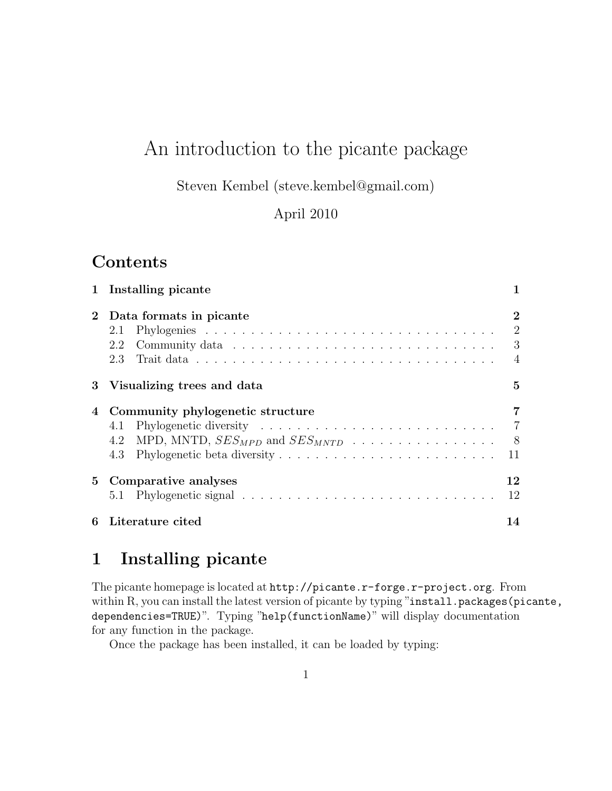# An introduction to the picante package

Steven Kembel (steve.kembel@gmail.com)

April 2010

### **Contents**

|             | 1 Installing picante                                                                             |                                                   |  |  |  |  |  |  |  |  |
|-------------|--------------------------------------------------------------------------------------------------|---------------------------------------------------|--|--|--|--|--|--|--|--|
| $2^{\circ}$ | Data formats in picante<br>2.1<br>2.2<br>2.3                                                     | $\bf{2}$<br>$\overline{2}$<br>3<br>$\overline{4}$ |  |  |  |  |  |  |  |  |
|             | 3 Visualizing trees and data                                                                     |                                                   |  |  |  |  |  |  |  |  |
| 4           | Community phylogenetic structure<br>4.1<br>MPD, MNTD, $SES_{MPD}$ and $SES_{MNTD}$<br>4.2<br>4.3 | 7<br>$\overline{7}$<br>8<br>11                    |  |  |  |  |  |  |  |  |
|             | 5 Comparative analyses                                                                           | 12<br>12                                          |  |  |  |  |  |  |  |  |
| 6           | Literature cited                                                                                 |                                                   |  |  |  |  |  |  |  |  |

## 1 Installing picante

The picante homepage is located at http://picante.r-forge.r-project.org. From within R, you can install the latest version of picante by typing "install.packages(picante, dependencies=TRUE)". Typing "help(functionName)" will display documentation for any function in the package.

Once the package has been installed, it can be loaded by typing: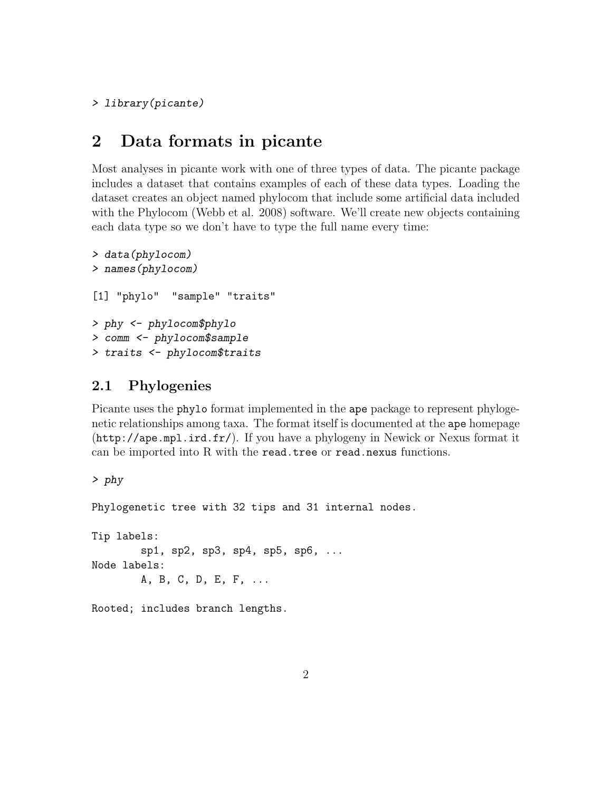> library(picante)

### 2 Data formats in picante

Most analyses in picante work with one of three types of data. The picante package includes a dataset that contains examples of each of these data types. Loading the dataset creates an object named phylocom that include some artificial data included with the Phylocom (Webb et al. 2008) software. We'll create new objects containing each data type so we don't have to type the full name every time:

```
> data(phylocom)
> names(phylocom)
[1] "phylo" "sample" "traits"
> phy <- phylocom$phylo
> comm <- phylocom$sample
> traits <- phylocom$traits
```
#### 2.1 Phylogenies

Picante uses the phylo format implemented in the ape package to represent phylogenetic relationships among taxa. The format itself is documented at the ape homepage (http://ape.mpl.ird.fr/). If you have a phylogeny in Newick or Nexus format it can be imported into R with the read.tree or read.nexus functions.

> phy Phylogenetic tree with 32 tips and 31 internal nodes. Tip labels: sp1, sp2, sp3, sp4, sp5, sp6, ... Node labels: A, B, C, D, E, F, ...

Rooted; includes branch lengths.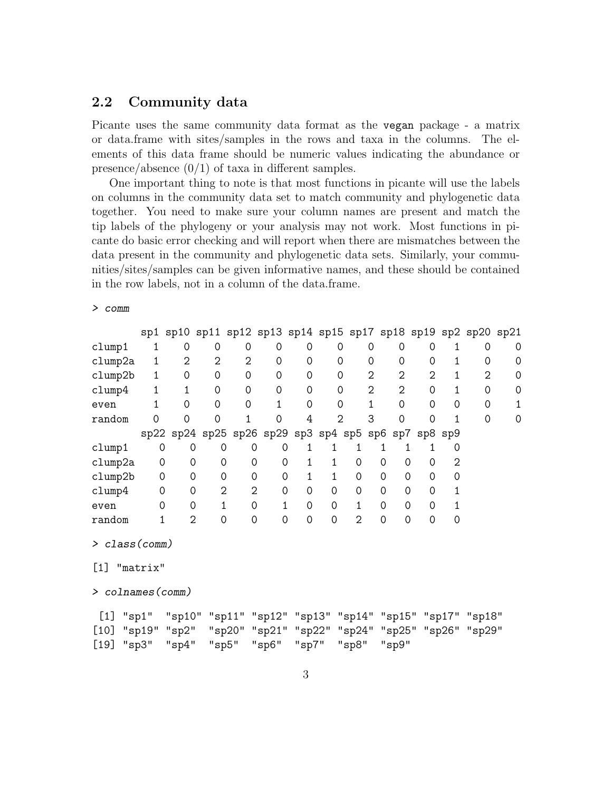#### 2.2 Community data

Picante uses the same community data format as the vegan package - a matrix or data.frame with sites/samples in the rows and taxa in the columns. The elements of this data frame should be numeric values indicating the abundance or presence/absence  $(0/1)$  of taxa in different samples.

One important thing to note is that most functions in picante will use the labels on columns in the community data set to match community and phylogenetic data together. You need to make sure your column names are present and match the tip labels of the phylogeny or your analysis may not work. Most functions in picante do basic error checking and will report when there are mismatches between the data present in the community and phylogenetic data sets. Similarly, your communities/sites/samples can be given informative names, and these should be contained in the row labels, not in a column of the data.frame.

> comm

|                     |             |                |                |                | sp1 sp10 sp11 sp12 sp13 sp14 sp15 sp17 sp18 sp19 sp2 sp20 sp21 |              |                |                |          |             |          |         |          |   |
|---------------------|-------------|----------------|----------------|----------------|----------------------------------------------------------------|--------------|----------------|----------------|----------|-------------|----------|---------|----------|---|
| clump1              | 1           | 0              | 0              | $\Omega$       | 0                                                              | $\Omega$     | 0              |                | 0        | $\Omega$    | $\Omega$ | 1       | 0        | 0 |
| clump2a             | 1           | $\overline{2}$ | 2              | $\overline{2}$ | 0                                                              | 0            | 0              |                | 0        | 0           | $\Omega$ | 1       | 0        | 0 |
| clump2b             | 1           | 0              | 0              | 0              | 0                                                              | 0            | 0              |                | 2        | 2           | 2        | 1       | 2        | 0 |
| clump4              | $\mathbf 1$ | 1              | 0              | 0              | $\mathbf 0$                                                    | 0            | 0              |                | 2        | 2           | 0        | 1       | 0        | 0 |
| even                | 1           | 0              | 0              | 0              | 1                                                              | $\Omega$     | 0              |                | 1        | 0           | $\Omega$ | 0       | $\Omega$ |   |
| random              | 0           | 0              | 0              | 1              | 0                                                              | 4            | $\overline{2}$ |                | 3        | 0           | 0        | 1       | 0        | 0 |
|                     |             |                |                |                | sp22 sp24 sp25 sp26 sp29 sp3 sp4 sp5 sp6 sp7                   |              |                |                |          |             |          | sp8 sp9 |          |   |
| clump1              | 0           | 0              | 0              | 0              | 0                                                              | 1            | 1              | 1              | 1        | 1           | 1        | 0       |          |   |
| clump2a             | 0           | 0              | 0              | 0              | 0                                                              | 1            | $\mathbf{1}$   | 0              | 0        | $\Omega$    | 0        | 2       |          |   |
| clump2b             | 0           | 0              | $\mathbf 0$    | 0              | 0                                                              | $\mathbf{1}$ | $\mathbf{1}$   | 0              | 0        | 0           | $\Omega$ | 0       |          |   |
| clump4              | 0           | 0              | $\overline{2}$ | $\overline{2}$ | 0                                                              | 0            | 0              | 0              | $\Omega$ | $\Omega$    | $\Omega$ | 1       |          |   |
| even                | 0           | 0              | $\mathbf{1}$   | $\mathbf 0$    | $\mathbf{1}$                                                   | $\mathbf 0$  | 0              | $\mathbf{1}$   | 0        | $\Omega$    | $\Omega$ | 1       |          |   |
| random              | 1           | $\overline{2}$ | $\mathbf 0$    | 0              | 0                                                              | 0            | 0              | $\overline{2}$ | 0        | 0           | 0        | 0       |          |   |
| $>$ class (comm)    |             |                |                |                |                                                                |              |                |                |          |             |          |         |          |   |
| [1]                 | "matrix"    |                |                |                |                                                                |              |                |                |          |             |          |         |          |   |
| $> columnes$ (comm) |             |                |                |                |                                                                |              |                |                |          |             |          |         |          |   |
| [1]                 | "sp1"       |                |                |                | "sp10" "sp11" "sp12" "sp13" "sp14" "sp15" "sp17" "sp18"        |              |                |                |          |             |          |         |          |   |
| $[10]$              |             | "sp19" "sp2"   |                |                | "sp20" "sp21" "sp22" "sp24" "sp25" "sp26" "sp29"               |              |                |                |          |             |          |         |          |   |
| $[19]$              | $"$ sp $3"$ | $"$ sp $4"$    |                | "sp5"          | "sp6"                                                          | "sp7"        |                | "sp8"          |          | $"$ sp $9"$ |          |         |          |   |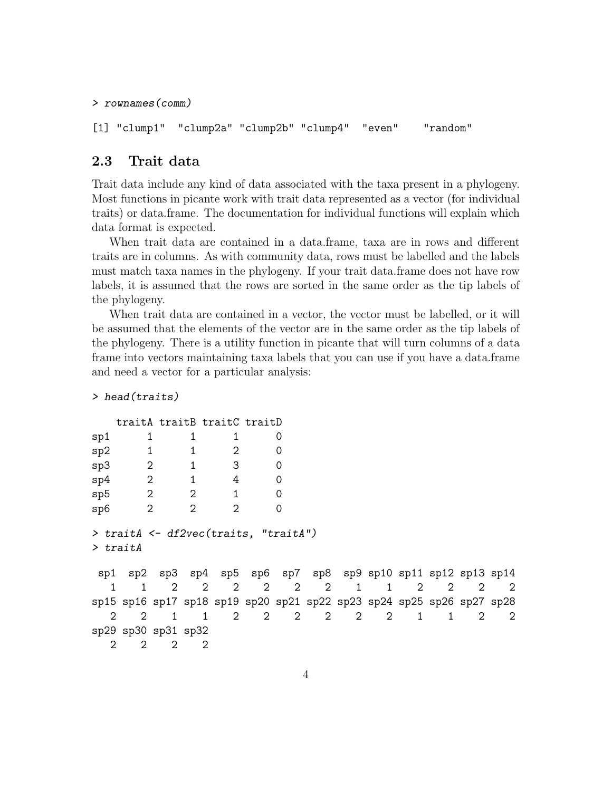```
> rownames(comm)
```

```
[1] "clump1" "clump2a" "clump2b" "clump4" "even" "random"
```
#### 2.3 Trait data

Trait data include any kind of data associated with the taxa present in a phylogeny. Most functions in picante work with trait data represented as a vector (for individual traits) or data.frame. The documentation for individual functions will explain which data format is expected.

When trait data are contained in a data.frame, taxa are in rows and different traits are in columns. As with community data, rows must be labelled and the labels must match taxa names in the phylogeny. If your trait data.frame does not have row labels, it is assumed that the rows are sorted in the same order as the tip labels of the phylogeny.

When trait data are contained in a vector, the vector must be labelled, or it will be assumed that the elements of the vector are in the same order as the tip labels of the phylogeny. There is a utility function in picante that will turn columns of a data frame into vectors maintaining taxa labels that you can use if you have a data.frame and need a vector for a particular analysis:

```
> head(traits)
```

|                             |                                                                       |                             |                             | traitA traitB traitC traitD                                |             |          |   |                |   |                             |                       |                |   |
|-----------------------------|-----------------------------------------------------------------------|-----------------------------|-----------------------------|------------------------------------------------------------|-------------|----------|---|----------------|---|-----------------------------|-----------------------|----------------|---|
| sp1                         |                                                                       | 1                           | 1                           | 1                                                          |             | 0        |   |                |   |                             |                       |                |   |
| sp2                         |                                                                       | 1                           |                             | 2                                                          |             | $\Omega$ |   |                |   |                             |                       |                |   |
| sp3                         | $\overline{\phantom{0}}^2$                                            |                             | 1                           | 3                                                          |             | $\Omega$ |   |                |   |                             |                       |                |   |
| sp4                         | $\overline{\phantom{0}}^2$                                            |                             | 1                           | 4                                                          |             | 0        |   |                |   |                             |                       |                |   |
| sp5                         | $\overline{2}$                                                        |                             | 2                           | 1                                                          |             | $\Omega$ |   |                |   |                             |                       |                |   |
| sp6                         |                                                                       | $\overline{2}$              | 2                           | $\mathfrak{D}$                                             |             | $\Omega$ |   |                |   |                             |                       |                |   |
|                             | > traitA <- df2vec(traits, "traitA")<br>$>$ traith                    |                             |                             |                                                            |             |          |   |                |   |                             |                       |                |   |
| sp1                         |                                                                       |                             |                             | $sp2$ sp3 sp4 sp5 sp6 sp7 sp8 sp9 sp10 sp11 sp12 sp13 sp14 |             |          |   |                |   |                             |                       |                |   |
| 1                           |                                                                       | $\mathcal{D}_{\mathcal{L}}$ | $\mathcal{D}_{\mathcal{L}}$ | 2                                                          | 2           | 2        | 2 | $\mathbf{1}$   | 1 | $\mathcal{D}_{\mathcal{L}}$ | $\mathcal{D}_{\cdot}$ | $\mathfrak{D}$ | 2 |
|                             | sp15 sp16 sp17 sp18 sp19 sp20 sp21 sp22 sp23 sp24 sp25 sp26 sp27 sp28 |                             |                             |                                                            |             |          |   |                |   |                             |                       |                |   |
| 2                           | $\mathcal{D}_{\mathcal{L}}$                                           | 1                           | $\mathbf{1}$                | $\mathcal{D}_{\mathcal{L}}$                                | $2^{\circ}$ | 2        | 2 | $\overline{2}$ | 2 | $\mathbf{1}$                | $\mathbf{1}$          | 2              | 2 |
|                             | sp29 sp30 sp31 sp32                                                   |                             |                             |                                                            |             |          |   |                |   |                             |                       |                |   |
| $\mathcal{D}_{\mathcal{L}}$ | $\mathcal{D}$                                                         | $\mathcal{D}$               | 2                           |                                                            |             |          |   |                |   |                             |                       |                |   |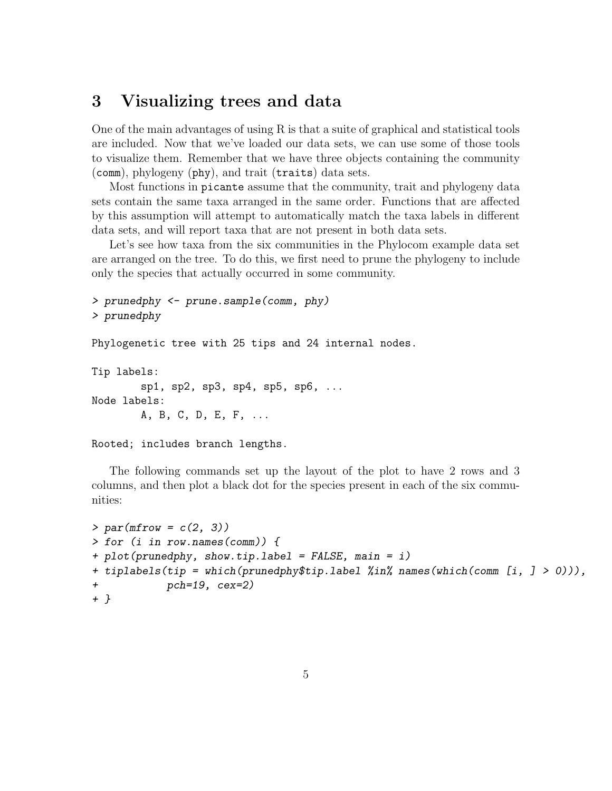### 3 Visualizing trees and data

One of the main advantages of using R is that a suite of graphical and statistical tools are included. Now that we've loaded our data sets, we can use some of those tools to visualize them. Remember that we have three objects containing the community (comm), phylogeny (phy), and trait (traits) data sets.

Most functions in picante assume that the community, trait and phylogeny data sets contain the same taxa arranged in the same order. Functions that are affected by this assumption will attempt to automatically match the taxa labels in different data sets, and will report taxa that are not present in both data sets.

Let's see how taxa from the six communities in the Phylocom example data set are arranged on the tree. To do this, we first need to prune the phylogeny to include only the species that actually occurred in some community.

```
> prunedphy <- prune.sample(comm, phy)
> prunedphy
```
Phylogenetic tree with 25 tips and 24 internal nodes.

```
Tip labels:
        sp1, sp2, sp3, sp4, sp5, sp6, ...
Node labels:
        A, B, C, D, E, F, ...
```
Rooted; includes branch lengths.

The following commands set up the layout of the plot to have 2 rows and 3 columns, and then plot a black dot for the species present in each of the six communities:

```
> par(mfrow = c(2, 3))> for (i in row.names(comm)) {
+ plot(prunedphy, show.tip.label = FALSE, main = i)
+ tiplabels(tip = which(prunedphy$tip.label %in% names(which(comm [i, ] > 0))),
            pch=19, cex=2)
+ }
```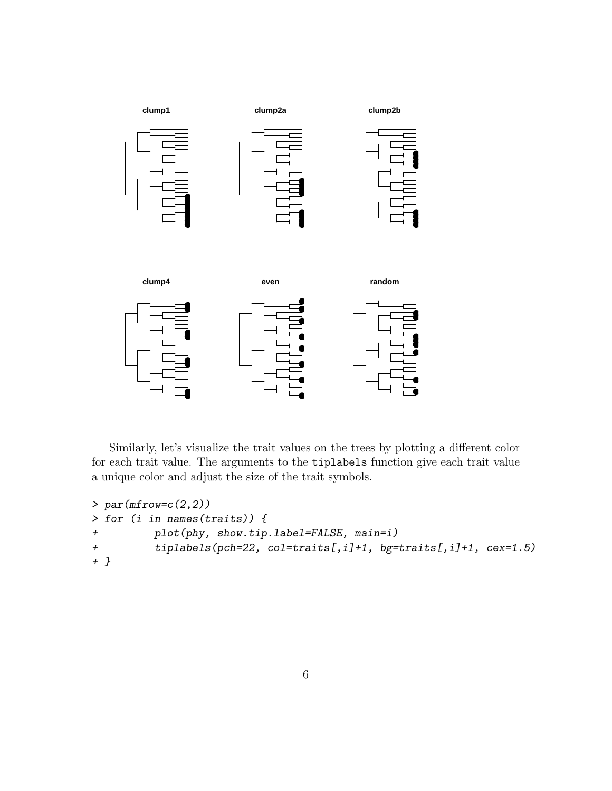

Similarly, let's visualize the trait values on the trees by plotting a different color for each trait value. The arguments to the tiplabels function give each trait value a unique color and adjust the size of the trait symbols.

```
> par(mfrow=c(2,2))> for (i in names(traits)) {
+ plot(phy, show.tip.label=FALSE, main=i)
+ tiplabels(pch=22, col=traits[,i]+1, bg=traits[,i]+1, cex=1.5)
+ }
```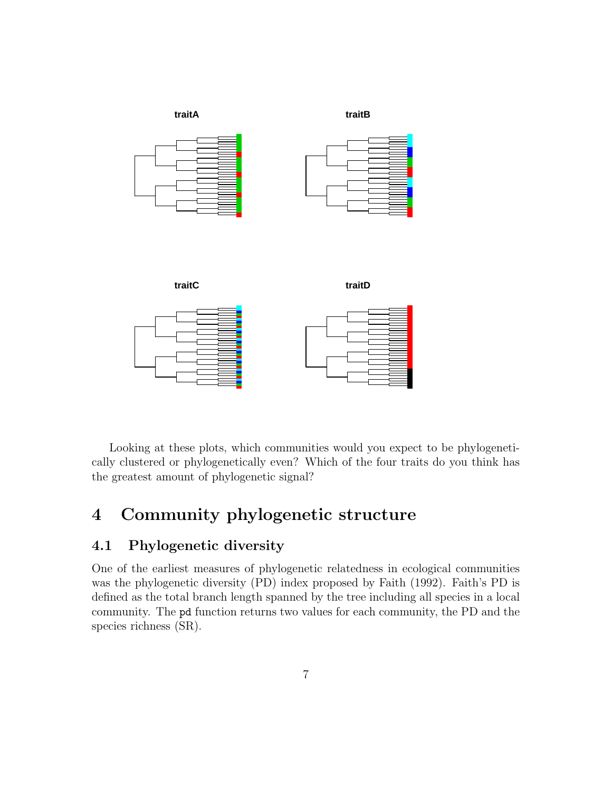

Looking at these plots, which communities would you expect to be phylogenetically clustered or phylogenetically even? Which of the four traits do you think has the greatest amount of phylogenetic signal?

## 4 Community phylogenetic structure

#### 4.1 Phylogenetic diversity

One of the earliest measures of phylogenetic relatedness in ecological communities was the phylogenetic diversity (PD) index proposed by Faith (1992). Faith's PD is defined as the total branch length spanned by the tree including all species in a local community. The pd function returns two values for each community, the PD and the species richness (SR).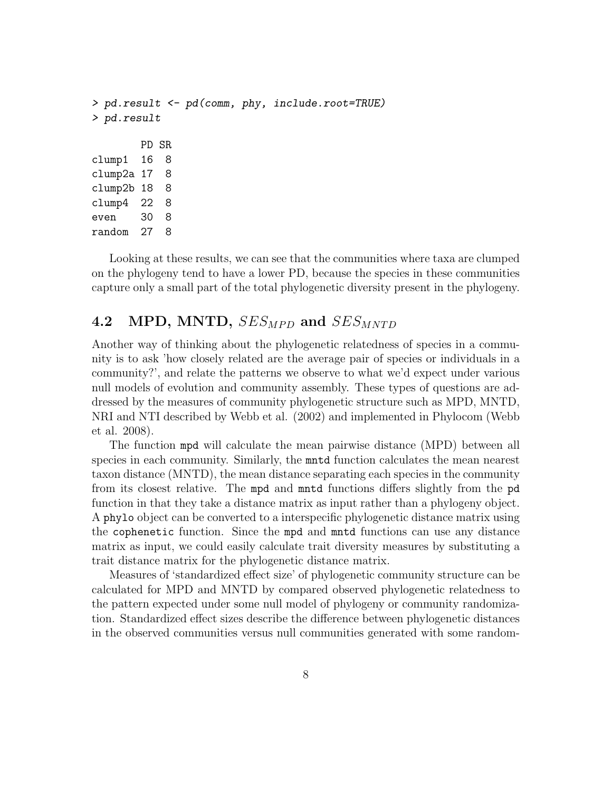```
> pd.result <- pd(comm, phy, include.root=TRUE)
> pd.result
       PD SR
clump1 16 8
clump2a 17 8
clump2b 18 8
clump4 22 8
even 30 8
random 27 8
```
Looking at these results, we can see that the communities where taxa are clumped on the phylogeny tend to have a lower PD, because the species in these communities capture only a small part of the total phylogenetic diversity present in the phylogeny.

### 4.2 MPD, MNTD,  $SES_{MPD}$  and  $SES_{MNTD}$

Another way of thinking about the phylogenetic relatedness of species in a community is to ask 'how closely related are the average pair of species or individuals in a community?', and relate the patterns we observe to what we'd expect under various null models of evolution and community assembly. These types of questions are addressed by the measures of community phylogenetic structure such as MPD, MNTD, NRI and NTI described by Webb et al. (2002) and implemented in Phylocom (Webb et al. 2008).

The function mpd will calculate the mean pairwise distance (MPD) between all species in each community. Similarly, the mntd function calculates the mean nearest taxon distance (MNTD), the mean distance separating each species in the community from its closest relative. The mpd and mntd functions differs slightly from the pd function in that they take a distance matrix as input rather than a phylogeny object. A phylo object can be converted to a interspecific phylogenetic distance matrix using the cophenetic function. Since the mpd and mntd functions can use any distance matrix as input, we could easily calculate trait diversity measures by substituting a trait distance matrix for the phylogenetic distance matrix.

Measures of 'standardized effect size' of phylogenetic community structure can be calculated for MPD and MNTD by compared observed phylogenetic relatedness to the pattern expected under some null model of phylogeny or community randomization. Standardized effect sizes describe the difference between phylogenetic distances in the observed communities versus null communities generated with some random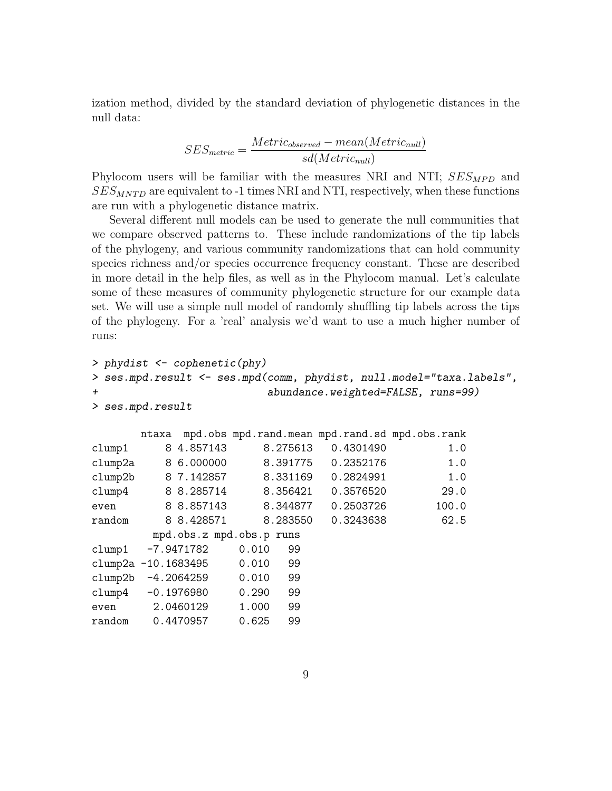ization method, divided by the standard deviation of phylogenetic distances in the null data:

$$
SES_{metric} = \frac{Metric_{observed} - mean(Metric_{null})}{sd(Metric_{null})}
$$

Phylocom users will be familiar with the measures NRI and NTI;  $SES_{MPD}$  and  $SES_{MNTD}$  are equivalent to -1 times NRI and NTI, respectively, when these functions are run with a phylogenetic distance matrix.

Several different null models can be used to generate the null communities that we compare observed patterns to. These include randomizations of the tip labels of the phylogeny, and various community randomizations that can hold community species richness and/or species occurrence frequency constant. These are described in more detail in the help files, as well as in the Phylocom manual. Let's calculate some of these measures of community phylogenetic structure for our example data set. We will use a simple null model of randomly shuffling tip labels across the tips of the phylogeny. For a 'real' analysis we'd want to use a much higher number of runs:

```
> phydist <- cophenetic(phy)
> ses.mpd.result <- ses.mpd(comm, phydist, null.model="taxa.labels",
                      abundance.weighted=FALSE, runs=99)
> ses.mpd.result
      ntaxa mpd.obs mpd.rand.mean mpd.rand.sd mpd.obs.rank
clump1 8 4.857143 8.275613 0.4301490 1.0
clump2a 8 6.000000 8.391775 0.2352176 1.0
clump2b 8 7.142857 8.331169 0.2824991 1.0
clump4 8 8.285714 8.356421 0.3576520 29.0
even 8 8.857143 8.344877 0.2503726 100.0
random 8 8.428571 8.283550 0.3243638 62.5
       mpd.obs.z mpd.obs.p runs
clump1 -7.9471782 0.010 99
clump2a -10.1683495 0.010 99
clump2b -4.2064259 0.010 99
clump4 -0.1976980 0.290 99
even 2.0460129 1.000 99
random 0.4470957 0.625 99
```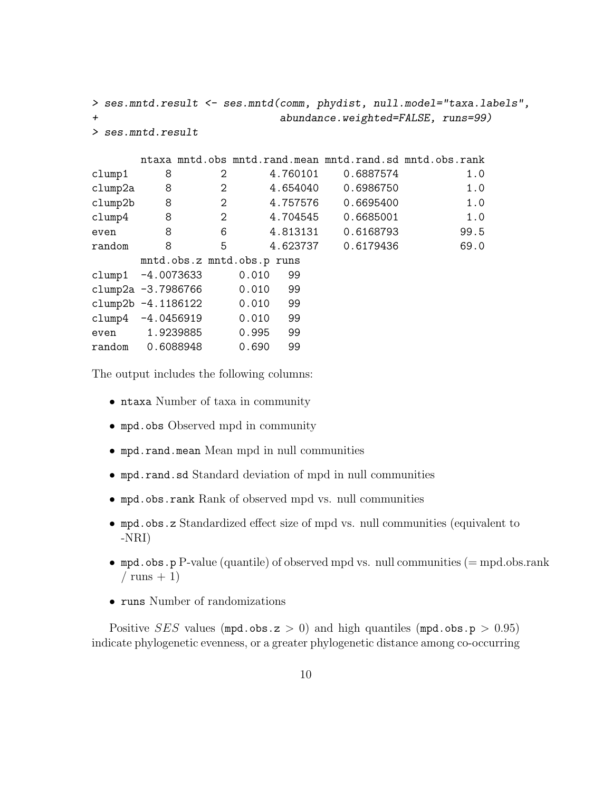```
> ses.mntd.result <- ses.mntd(comm, phydist, null.model="taxa.labels",
+ abundance.weighted=FALSE, runs=99)
> ses.mntd.result
     ntaxa mntd.obs mntd.rand.mean mntd.rand.sd mntd.obs.rank
clump1 8 2 4.760101 0.6887574 1.0
clump2a 8 2 4.654040 0.6986750 1.0
clump2b 8 2 4.757576 0.6695400 1.0
clump4 8 2 4.704545 0.6685001 1.0
even 8 6 4.813131 0.6168793 99.5
random 8 5 4.623737 0.6179436 69.0
     mntd.obs.z mntd.obs.p runs
clump1 -4.0073633 0.010 99
clump2a -3.7986766 0.010 99
clump2b -4.1186122 0.010 99
clump4 -4.0456919 0.010 99
even 1.9239885 0.995 99
random 0.6088948 0.690 99
```
The output includes the following columns:

- ntaxa Number of taxa in community
- mpd.obs Observed mpd in community
- mpd.rand.mean Mean mpd in null communities
- mpd.rand.sd Standard deviation of mpd in null communities
- mpd.obs.rank Rank of observed mpd vs. null communities
- mpd.obs.z Standardized effect size of mpd vs. null communities (equivalent to -NRI)
- mpd.obs.p P-value (quantile) of observed mpd vs. null communities  $(=$  mpd.obs.rank / runs  $+1$ )
- runs Number of randomizations

Positive *SES* values (mpd.obs.z  $> 0$ ) and high quantiles (mpd.obs.p  $> 0.95$ ) indicate phylogenetic evenness, or a greater phylogenetic distance among co-occurring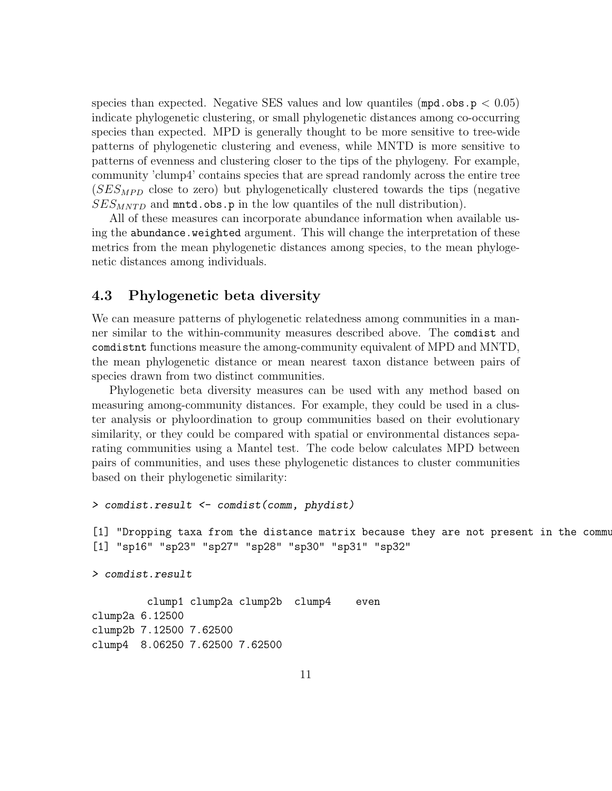species than expected. Negative SES values and low quantiles  $(\text{mpd.obs. p} < 0.05)$ indicate phylogenetic clustering, or small phylogenetic distances among co-occurring species than expected. MPD is generally thought to be more sensitive to tree-wide patterns of phylogenetic clustering and eveness, while MNTD is more sensitive to patterns of evenness and clustering closer to the tips of the phylogeny. For example, community 'clump4' contains species that are spread randomly across the entire tree  $(SES_{MPD}$  close to zero) but phylogenetically clustered towards the tips (negative  $SES_{MNTD}$  and mntd.obs.p in the low quantiles of the null distribution).

All of these measures can incorporate abundance information when available using the abundance.weighted argument. This will change the interpretation of these metrics from the mean phylogenetic distances among species, to the mean phylogenetic distances among individuals.

#### 4.3 Phylogenetic beta diversity

We can measure patterns of phylogenetic relatedness among communities in a manner similar to the within-community measures described above. The comdist and comdistnt functions measure the among-community equivalent of MPD and MNTD, the mean phylogenetic distance or mean nearest taxon distance between pairs of species drawn from two distinct communities.

Phylogenetic beta diversity measures can be used with any method based on measuring among-community distances. For example, they could be used in a cluster analysis or phyloordination to group communities based on their evolutionary similarity, or they could be compared with spatial or environmental distances separating communities using a Mantel test. The code below calculates MPD between pairs of communities, and uses these phylogenetic distances to cluster communities based on their phylogenetic similarity:

```
> comdist.result <- comdist(comm, phydist)
```

```
[1] "Dropping taxa from the distance matrix because they are not present in the commu
[1] "sp16" "sp23" "sp27" "sp28" "sp30" "sp31" "sp32"
```
> comdist.result

clump1 clump2a clump2b clump4 even clump2a 6.12500 clump2b 7.12500 7.62500 clump4 8.06250 7.62500 7.62500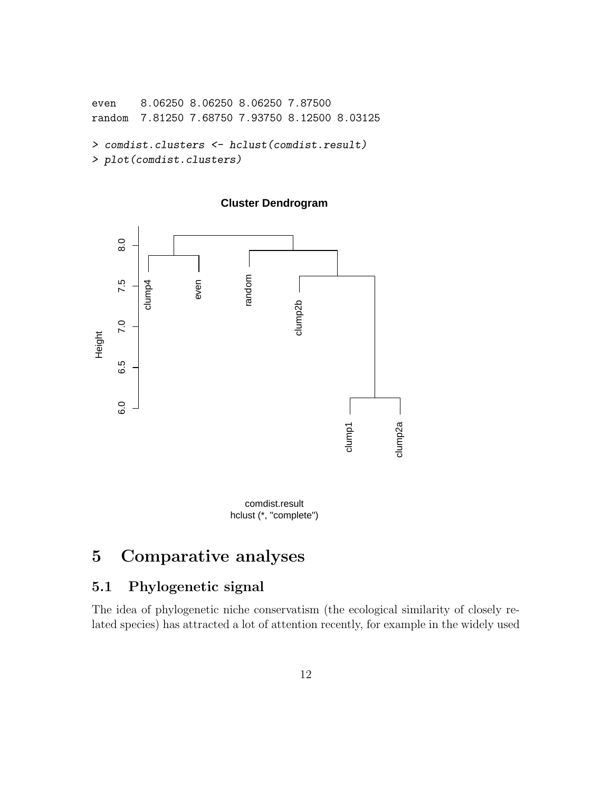```
even 8.06250 8.06250 8.06250 7.87500
random 7.81250 7.68750 7.93750 8.12500 8.03125
> comdist.clusters <- hclust(comdist.result)
```
> plot(comdist.clusters)





hclust (\*, "complete") comdist.result

# 5 Comparative analyses

#### 5.1 Phylogenetic signal

The idea of phylogenetic niche conservatism (the ecological similarity of closely related species) has attracted a lot of attention recently, for example in the widely used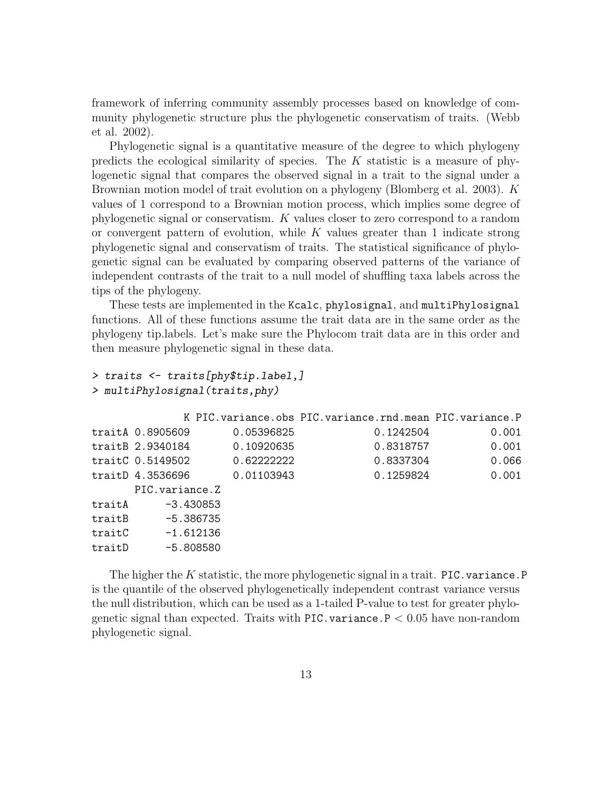framework of inferring community assembly processes based on knowledge of community phylogenetic structure plus the phylogenetic conservatism of traits. (Webb et al. 2002).

Phylogenetic signal is a quantitative measure of the degree to which phylogeny predicts the ecological similarity of species. The  $K$  statistic is a measure of phylogenetic signal that compares the observed signal in a trait to the signal under a Brownian motion model of trait evolution on a phylogeny (Blomberg et al. 2003). K values of 1 correspond to a Brownian motion process, which implies some degree of phylogenetic signal or conservatism. K values closer to zero correspond to a random or convergent pattern of evolution, while  $K$  values greater than 1 indicate strong phylogenetic signal and conservatism of traits. The statistical significance of phylogenetic signal can be evaluated by comparing observed patterns of the variance of independent contrasts of the trait to a null model of shuffling taxa labels across the tips of the phylogeny.

These tests are implemented in the Kcalc, phylosignal, and multiPhylosignal functions. All of these functions assume the trait data are in the same order as the phylogeny tip.labels. Let's make sure the Phylocom trait data are in this order and then measure phylogenetic signal in these data.

```
> traits <- traits[phy$tip.label,]
> multiPhylosignal(traits,phy)
```

|        |                  |            | K PIC. variance.obs PIC. variance.rnd. mean PIC. variance. P |       |
|--------|------------------|------------|--------------------------------------------------------------|-------|
|        | traitA 0.8905609 | 0.05396825 | 0.1242504                                                    | 0.001 |
|        | traitB 2.9340184 | 0.10920635 | 0.8318757                                                    | 0.001 |
|        | traitC 0.5149502 | 0.62222222 | 0.8337304                                                    | 0.066 |
|        | traitD 4.3536696 | 0.01103943 | 0.1259824                                                    | 0.001 |
|        | PIC.variance.Z   |            |                                                              |       |
| traitA | -3.430853        |            |                                                              |       |
| traitB | -5.386735        |            |                                                              |       |
| traitC | -1.612136        |            |                                                              |       |
| traitD | $-5.808580$      |            |                                                              |       |

The higher the K statistic, the more phylogenetic signal in a trait. PIC. variance. P is the quantile of the observed phylogenetically independent contrast variance versus the null distribution, which can be used as a 1-tailed P-value to test for greater phylogenetic signal than expected. Traits with PIC. variance  $P < 0.05$  have non-random phylogenetic signal.